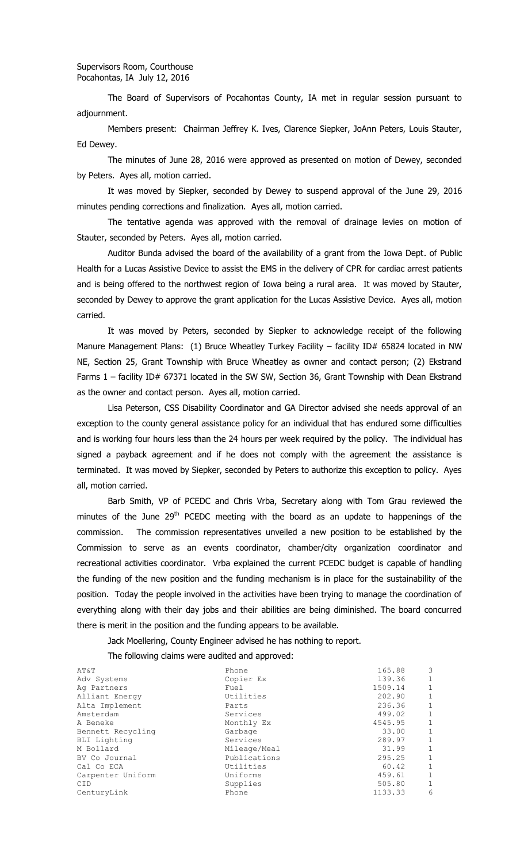The Board of Supervisors of Pocahontas County, IA met in regular session pursuant to adjournment.

Members present: Chairman Jeffrey K. Ives, Clarence Siepker, JoAnn Peters, Louis Stauter, Ed Dewey.

The minutes of June 28, 2016 were approved as presented on motion of Dewey, seconded by Peters. Ayes all, motion carried.

It was moved by Siepker, seconded by Dewey to suspend approval of the June 29, 2016 minutes pending corrections and finalization. Ayes all, motion carried.

The tentative agenda was approved with the removal of drainage levies on motion of Stauter, seconded by Peters. Ayes all, motion carried.

Auditor Bunda advised the board of the availability of a grant from the Iowa Dept. of Public Health for a Lucas Assistive Device to assist the EMS in the delivery of CPR for cardiac arrest patients and is being offered to the northwest region of Iowa being a rural area. It was moved by Stauter, seconded by Dewey to approve the grant application for the Lucas Assistive Device. Ayes all, motion carried.

It was moved by Peters, seconded by Siepker to acknowledge receipt of the following Manure Management Plans: (1) Bruce Wheatley Turkey Facility – facility ID# 65824 located in NW NE, Section 25, Grant Township with Bruce Wheatley as owner and contact person; (2) Ekstrand Farms 1 - facility ID# 67371 located in the SW SW, Section 36, Grant Township with Dean Ekstrand as the owner and contact person. Ayes all, motion carried.

Lisa Peterson, CSS Disability Coordinator and GA Director advised she needs approval of an exception to the county general assistance policy for an individual that has endured some difficulties and is working four hours less than the 24 hours per week required by the policy. The individual has signed a payback agreement and if he does not comply with the agreement the assistance is terminated. It was moved by Siepker, seconded by Peters to authorize this exception to policy. Ayes all, motion carried.

Barb Smith, VP of PCEDC and Chris Vrba, Secretary along with Tom Grau reviewed the minutes of the June 29<sup>th</sup> PCEDC meeting with the board as an update to happenings of the commission. The commission representatives unveiled a new position to be established by the Commission to serve as an events coordinator, chamber/city organization coordinator and recreational activities coordinator. Vrba explained the current PCEDC budget is capable of handling the funding of the new position and the funding mechanism is in place for the sustainability of the position. Today the people involved in the activities have been trying to manage the coordination of everything along with their day jobs and their abilities are being diminished. The board concurred there is merit in the position and the funding appears to be available.

Jack Moellering, County Engineer advised he has nothing to report.

The following claims were audited and approved:

| AT&T              | Phone        | 165.88  | 3           |
|-------------------|--------------|---------|-------------|
| Adv Systems       | Copier Ex    | 139.36  |             |
| Ag Partners       | Fuel         | 1509.14 | 1           |
| Alliant Energy    | Utilities    | 202.90  |             |
| Alta Implement    | Parts        | 236.36  | 1           |
| Amsterdam         | Services     | 499.02  |             |
| A Beneke          | Monthly Ex   | 4545.95 | $\mathbf 1$ |
| Bennett Recycling | Garbage      | 33.00   | 1           |
| BLI Lighting      | Services     | 289.97  |             |
| M Bollard         | Mileage/Meal | 31.99   | 1           |
| BV Co Journal     | Publications | 295.25  |             |
| Cal Co ECA        | Utilities    | 60.42   | 1           |
| Carpenter Uniform | Uniforms     | 459.61  |             |
| CID               | Supplies     | 505.80  | 1           |
| CenturyLink       | Phone        | 1133.33 | 6           |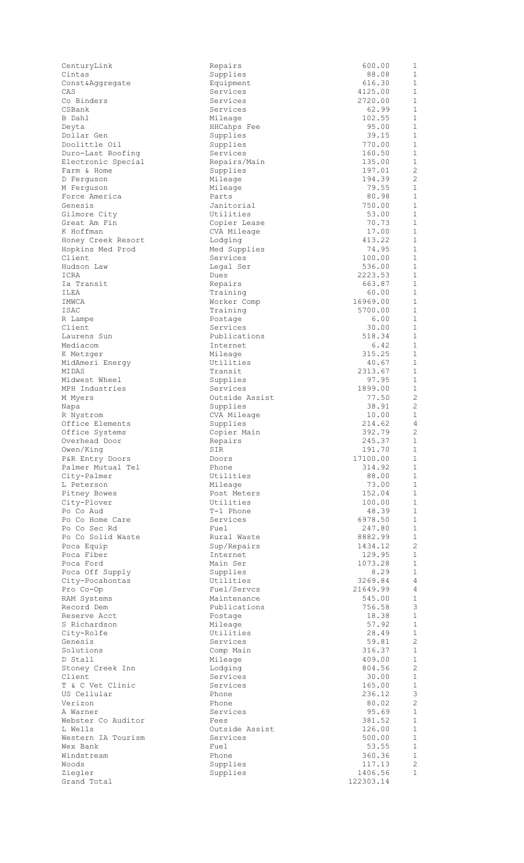| CenturyLink                     | Repairs                | 600.00            | $\mathbf 1$                    |
|---------------------------------|------------------------|-------------------|--------------------------------|
| Cintas                          | Supplies               | 88.08             | 1                              |
| Const&Aggregate<br>CAS          | Equipment<br>Services  | 616.30<br>4125.00 | $\mathbf{1}$<br>$\mathbf{1}$   |
| Co Binders                      | Services               | 2720.00           | $\mathbf{1}$                   |
| CSBank                          | Services               | 62.99             | $\mathbf{1}$                   |
| B Dahl                          | Mileage                | 102.55            | $\mathbf{1}$                   |
| Deyta                           | HHCahps Fee            | 95.00             | $\mathbf{1}$                   |
| Dollar Gen                      | Supplies               | 39.15             | $\mathbf{1}$                   |
| Doolittle Oil                   | Supplies               | 770.00            | $\mathbf{1}$                   |
| Duro-Last Roofing               | Services               | 160.50            | $\mathbf 1$                    |
| Electronic Special              | Repairs/Main           | 135.00            | $\mathbf{1}$                   |
| Farm & Home                     | Supplies               | 197.01            | $\mathbf{2}$<br>$\mathbf{2}$   |
| D Ferquson                      | Mileage                | 194.39<br>79.55   | $\mathbf{1}$                   |
| M Ferguson<br>Force America     | Mileage<br>Parts       | 80.98             | $\mathbf{1}$                   |
| Genesis                         | Janitorial             | 750.00            | $\mathbf{1}$                   |
| Gilmore City                    | Utilities              | 53.00             | $\mathbf 1$                    |
| Great Am Fin                    | Copier Lease           | 70.73             | $\mathbf{1}$                   |
| K Hoffman                       | CVA Mileage            | 17.00             | $\mathbf{1}$                   |
| Honey Creek Resort              | Lodging                | 413.22            | $\mathbf{1}$                   |
| Hopkins Med Prod                | Med Supplies           | 74.95             | $\mathbf{1}$                   |
| Client                          | Services               | 100.00            | $\mathbf 1$                    |
| Hudson Law                      | Legal Ser              | 536.00            | $\mathbf{1}$                   |
| ICRA                            | Dues                   | 2223.53           | $\mathbf{1}$<br>$\mathbf 1$    |
| Ia Transit<br>ILEA              | Repairs<br>Training    | 663.87<br>60.00   | $\mathbf{1}$                   |
| IMWCA                           | Worker Comp            | 16969.00          | $\mathbf{1}$                   |
| ISAC                            | Training               | 5700.00           | $\mathbf{1}$                   |
| R Lampe                         | Postage                | 6.00              | $\mathbf 1$                    |
| Client                          | Services               | 30.00             | $\mathbf 1$                    |
| Laurens Sun                     | Publications           | 518.34            | $\mathbf{1}$                   |
| Mediacom                        | Internet               | 6.42              | $\mathbf 1$                    |
| K Metzger                       | Mileage                | 315.25            | $\mathbf{1}$                   |
| MidAmeri Energy                 | Utilities              | 40.67             | $\mathbf{1}$                   |
| MIDAS                           | Transit                | 2313.67           | $\mathbf 1$                    |
| Midwest Wheel<br>MPH Industries | Supplies<br>Services   | 97.95<br>1899.00  | $\mathbf{1}$<br>$\mathbf 1$    |
| M Myers                         | Outside Assist         | 77.50             | 2                              |
| Napa                            | Supplies               | 38.91             | $\mathbf{2}$                   |
| R Nystrom                       | CVA Mileage            | 10.00             | $\mathbf 1$                    |
| Office Elements                 | Supplies               | 214.62            | 4                              |
| Office Systems                  | Copier Main            | 392.79            | 2                              |
| Overhead Door                   | Repairs                | 245.37            | 1                              |
| Owen/King                       | SIR                    | 191.70            | $\mathbf{1}$                   |
| P&R Entry Doors                 | Doors                  | 17100.00          | 1                              |
| Palmer Mutual Tel               | Phone                  | 314.92            | $\mathbf{1}$                   |
| City-Palmer                     | Utilities              | 88.00<br>73.00    | $\mathbf{1}$<br>$\mathbf{1}$   |
| L Peterson<br>Pitney Bowes      | Mileage<br>Post Meters | 152.04            | $\mathbf{1}$                   |
| City-Plover                     | Utilities              | 100.00            | $\mathbf{1}$                   |
| Po Co Aud                       | T-1 Phone              | 48.39             | $\mathbf{1}$                   |
| Po Co Home Care                 | Services               | 6978.50           | $\mathbf{1}$                   |
| Po Co Sec Rd                    | Fuel                   | 247.80            | $\mathbf{1}$                   |
| Po Co Solid Waste               | Rural Waste            | 8882.99           | $\mathbf{1}$                   |
| Poca Equip                      | Sup/Repairs            | 1434.12           | $\mathbf{2}$                   |
| Poca Fiber                      | Internet               | 129.95            | $\mathbf{1}$                   |
| Poca Ford                       | Main Ser               | 1073.28           | $\mathbf{1}$                   |
| Poca Off Supply                 | Supplies<br>Utilities  | 8.29<br>3269.84   | $\mathbf{1}$<br>$\overline{4}$ |
| City-Pocahontas<br>Pro Co-Op    | Fuel/Servcs            | 21649.99          | 4                              |
| RAM Systems                     | Maintenance            | 545.00            | $\mathbf{1}$                   |
| Record Dem                      | Publications           | 756.58            | $\mathsf 3$                    |
| Reserve Acct                    | Postage                | 18.38             | $\mathbf{1}$                   |
| S Richardson                    | Mileage                | 57.92             | $\mathbf{1}$                   |
| City-Rolfe                      | Utilities              | 28.49             | $\mathbf{1}$                   |
| Genesis                         | Services               | 59.81             | $\mathbf{2}$                   |
| Solutions                       | Comp Main              | 316.37            | $\mathbf{1}$                   |
| D Stall                         | Mileage                | 409.00            | $\mathbf{1}$                   |
| Stoney Creek Inn<br>Client      | Lodging<br>Services    | 804.56<br>30.00   | $\mathbf{2}$<br>$\mathbf{1}$   |
| T & C Vet Clinic                | Services               | 165.00            | $\mathbf{1}$                   |
| US Cellular                     | Phone                  | 236.12            | $\mathsf 3$                    |
| Verizon                         | Phone                  | 80.02             | $\mathbf{2}$                   |
| A Warner                        | Services               | 95.69             | $\mathbf{1}$                   |
| Webster Co Auditor              | Fees                   | 381.52            | $\mathbf 1$                    |
| L Wells                         | Outside Assist         | 126.00            | $\mathbf{1}$                   |
| Western IA Tourism              | Services               | 500.00            | $\mathbf{1}$                   |
| Wex Bank                        | Fuel                   | 53.55             | $\mathbf 1$                    |
| Windstream                      | Phone                  | 360.36            | $\mathbf{1}$<br>$\mathbf{2}$   |
| Woods<br>Ziegler                | Supplies<br>Supplies   | 117.13<br>1406.56 | $\mathbf 1$                    |
| Grand Total                     |                        | 122303.14         |                                |